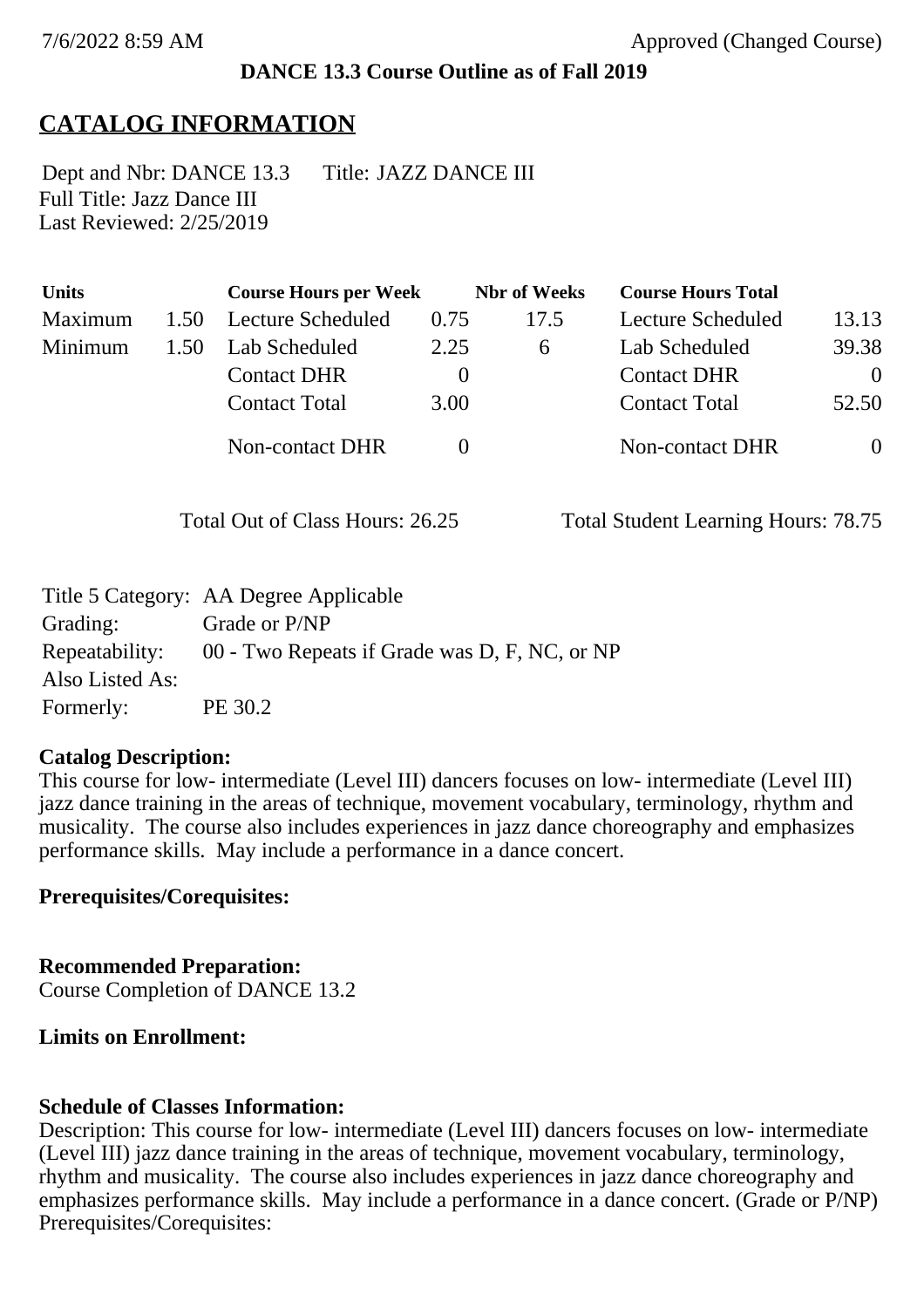### **DANCE 13.3 Course Outline as of Fall 2019**

## **CATALOG INFORMATION**

Full Title: Jazz Dance III Last Reviewed: 2/25/2019 Dept and Nbr: DANCE 13.3 Title: JAZZ DANCE III

| <b>Units</b> |      | <b>Course Hours per Week</b> |          | <b>Nbr</b> of Weeks | <b>Course Hours Total</b> |                |
|--------------|------|------------------------------|----------|---------------------|---------------------------|----------------|
| Maximum      | 1.50 | <b>Lecture Scheduled</b>     | 0.75     | 17.5                | Lecture Scheduled         | 13.13          |
| Minimum      | 1.50 | Lab Scheduled                | 2.25     | 6                   | Lab Scheduled             | 39.38          |
|              |      | <b>Contact DHR</b>           | $\theta$ |                     | <b>Contact DHR</b>        | $\Omega$       |
|              |      | <b>Contact Total</b>         | 3.00     |                     | <b>Contact Total</b>      | 52.50          |
|              |      | Non-contact DHR              |          |                     | <b>Non-contact DHR</b>    | $\overline{0}$ |

Total Out of Class Hours: 26.25 Total Student Learning Hours: 78.75

|                 | Title 5 Category: AA Degree Applicable        |
|-----------------|-----------------------------------------------|
| Grading:        | Grade or P/NP                                 |
| Repeatability:  | 00 - Two Repeats if Grade was D, F, NC, or NP |
| Also Listed As: |                                               |
| Formerly:       | PE 30.2                                       |

### **Catalog Description:**

This course for low- intermediate (Level III) dancers focuses on low- intermediate (Level III) jazz dance training in the areas of technique, movement vocabulary, terminology, rhythm and musicality. The course also includes experiences in jazz dance choreography and emphasizes performance skills. May include a performance in a dance concert.

### **Prerequisites/Corequisites:**

**Recommended Preparation:** Course Completion of DANCE 13.2

### **Limits on Enrollment:**

### **Schedule of Classes Information:**

Description: This course for low- intermediate (Level III) dancers focuses on low- intermediate (Level III) jazz dance training in the areas of technique, movement vocabulary, terminology, rhythm and musicality. The course also includes experiences in jazz dance choreography and emphasizes performance skills. May include a performance in a dance concert. (Grade or P/NP) Prerequisites/Corequisites: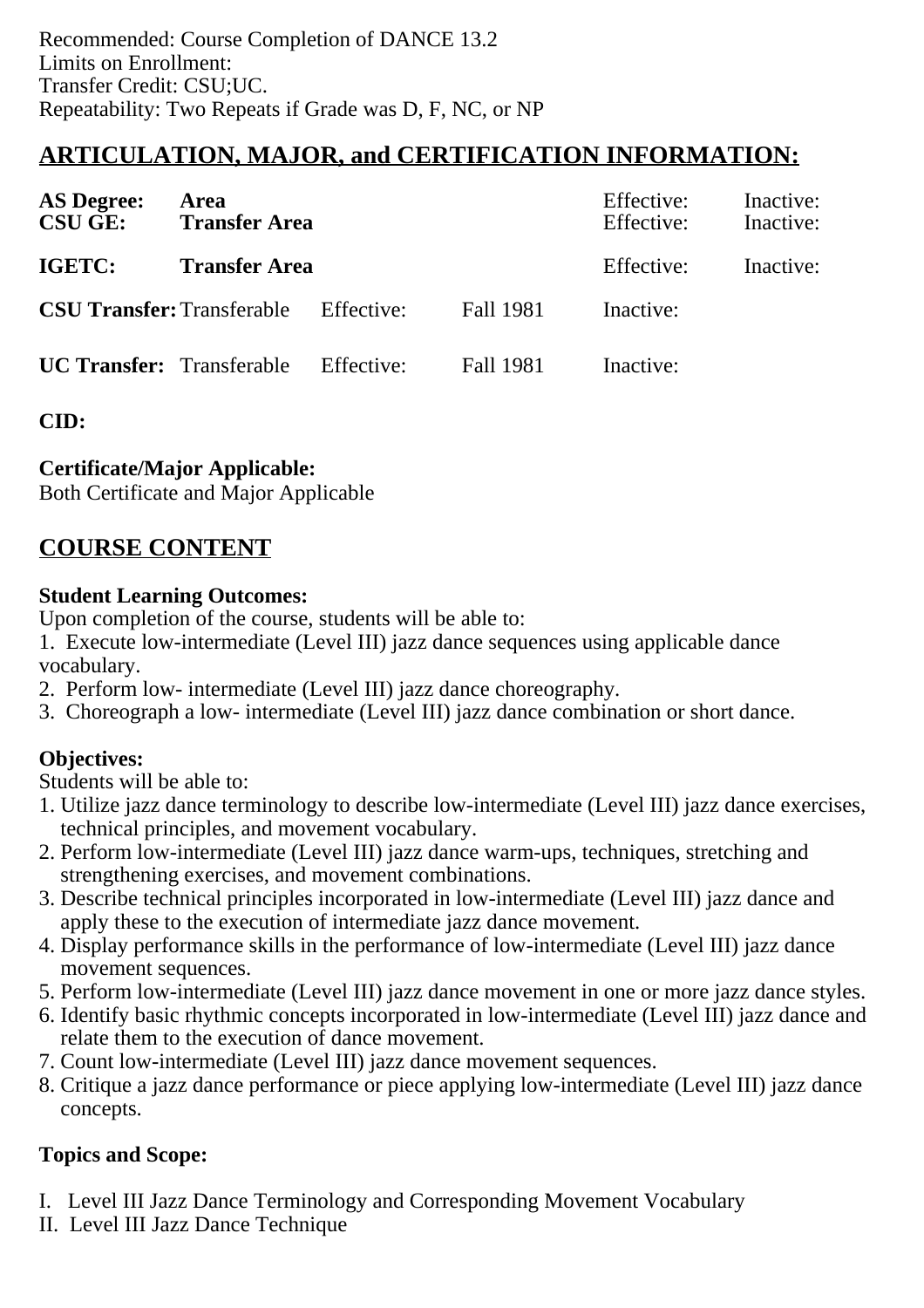# **ARTICULATION, MAJOR, and CERTIFICATION INFORMATION:**

| <b>AS Degree:</b><br><b>CSU GE:</b> | Area<br><b>Transfer Area</b>                 |            | Effective:<br>Effective: | Inactive:<br>Inactive: |           |
|-------------------------------------|----------------------------------------------|------------|--------------------------|------------------------|-----------|
| IGETC:                              | <b>Transfer Area</b>                         |            |                          | Effective:             | Inactive: |
|                                     | <b>CSU Transfer:</b> Transferable Effective: |            | <b>Fall 1981</b>         | Inactive:              |           |
| <b>UC Transfer:</b> Transferable    |                                              | Effective: | Fall 1981                | Inactive:              |           |

**CID:**

### **Certificate/Major Applicable:**

[Both Certificate and Major Applicable](SR_ClassCheck.aspx?CourseKey=DANCE13.3)

## **COURSE CONTENT**

### **Student Learning Outcomes:**

Upon completion of the course, students will be able to:

1. Execute low-intermediate (Level III) jazz dance sequences using applicable dance vocabulary.

- 2. Perform low- intermediate (Level III) jazz dance choreography.
- 3. Choreograph a low- intermediate (Level III) jazz dance combination or short dance.

### **Objectives:**

Students will be able to:

- 1. Utilize jazz dance terminology to describe low-intermediate (Level III) jazz dance exercises, technical principles, and movement vocabulary.
- 2. Perform low-intermediate (Level III) jazz dance warm-ups, techniques, stretching and strengthening exercises, and movement combinations.
- 3. Describe technical principles incorporated in low-intermediate (Level III) jazz dance and apply these to the execution of intermediate jazz dance movement.
- 4. Display performance skills in the performance of low-intermediate (Level III) jazz dance movement sequences.
- 5. Perform low-intermediate (Level III) jazz dance movement in one or more jazz dance styles.
- 6. Identify basic rhythmic concepts incorporated in low-intermediate (Level III) jazz dance and relate them to the execution of dance movement.
- 7. Count low-intermediate (Level III) jazz dance movement sequences.
- 8. Critique a jazz dance performance or piece applying low-intermediate (Level III) jazz dance concepts.

### **Topics and Scope:**

- I. Level III Jazz Dance Terminology and Corresponding Movement Vocabulary
- II. Level III Jazz Dance Technique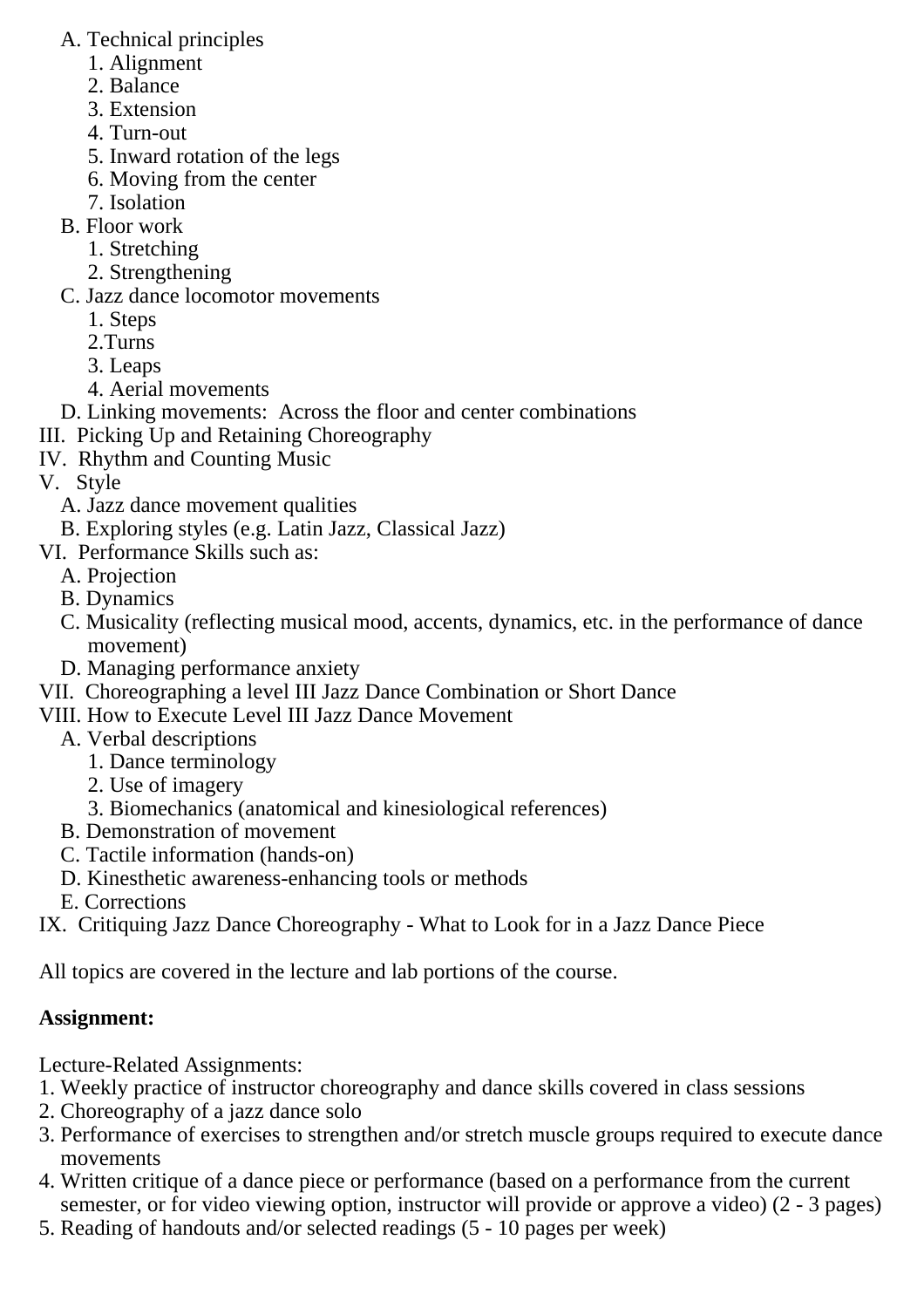- A. Technical principles
	- 1. Alignment
	- 2. Balance
	- 3. Extension
	- 4. Turn-out
	- 5. Inward rotation of the legs
	- 6. Moving from the center
	- 7. Isolation
- B. Floor work
	- 1. Stretching
	- 2. Strengthening
- C. Jazz dance locomotor movements
	- 1. Steps
	- 2.Turns
	- 3. Leaps
	- 4. Aerial movements
- D. Linking movements: Across the floor and center combinations
- III. Picking Up and Retaining Choreography
- IV. Rhythm and Counting Music
- V. Style
	- A. Jazz dance movement qualities
	- B. Exploring styles (e.g. Latin Jazz, Classical Jazz)
- VI. Performance Skills such as:
	- A. Projection
	- B. Dynamics
	- C. Musicality (reflecting musical mood, accents, dynamics, etc. in the performance of dance movement)
	- D. Managing performance anxiety
- VII. Choreographing a level III Jazz Dance Combination or Short Dance
- VIII. How to Execute Level III Jazz Dance Movement
	- A. Verbal descriptions
		- 1. Dance terminology
		- 2. Use of imagery
		- 3. Biomechanics (anatomical and kinesiological references)
	- B. Demonstration of movement
	- C. Tactile information (hands-on)
	- D. Kinesthetic awareness-enhancing tools or methods
	- E. Corrections
- IX. Critiquing Jazz Dance Choreography What to Look for in a Jazz Dance Piece

All topics are covered in the lecture and lab portions of the course.

## **Assignment:**

Lecture-Related Assignments:

- 1. Weekly practice of instructor choreography and dance skills covered in class sessions
- 2. Choreography of a jazz dance solo
- 3. Performance of exercises to strengthen and/or stretch muscle groups required to execute dance movements
- 4. Written critique of a dance piece or performance (based on a performance from the current semester, or for video viewing option, instructor will provide or approve a video) (2 - 3 pages)
- 5. Reading of handouts and/or selected readings (5 10 pages per week)